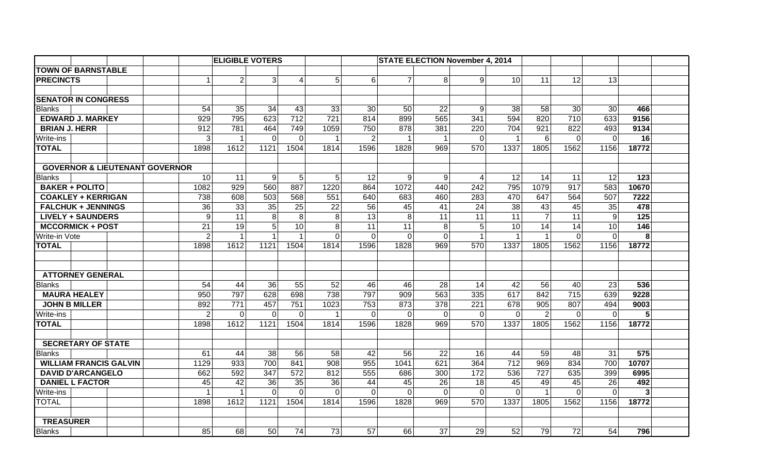|                           |                                           |                |                      | <b>ELIGIBLE VOTERS</b> |                |                | <b>STATE ELECTION November 4, 2014</b> |                |                |                |                 |                 |                 |                  |                |       |  |
|---------------------------|-------------------------------------------|----------------|----------------------|------------------------|----------------|----------------|----------------------------------------|----------------|----------------|----------------|-----------------|-----------------|-----------------|------------------|----------------|-------|--|
| <b>TOWN OF BARNSTABLE</b> |                                           |                |                      |                        |                |                |                                        |                |                |                |                 |                 |                 |                  |                |       |  |
| <b>PRECINCTS</b>          |                                           |                | $\blacktriangleleft$ | 2                      | $\mathbf{3}$   | 4              | 5 <sup>1</sup>                         | 6              | $\overline{7}$ | 8              | $\overline{9}$  | 10 <sup>1</sup> | 11              | 12               | 13             |       |  |
|                           |                                           |                |                      |                        |                |                |                                        |                |                |                |                 |                 |                 |                  |                |       |  |
|                           | <b>SENATOR IN CONGRESS</b>                |                |                      |                        |                |                |                                        |                |                |                |                 |                 |                 |                  |                |       |  |
| <b>Blanks</b>             |                                           |                | 54                   | 35                     | 34             | 43             | 33                                     | 30             | 50             | 22             | $\overline{9}$  | 38              | 58              | 30               | 30             | 466   |  |
|                           | <b>EDWARD J. MARKEY</b>                   |                | 929                  | 795                    | 623            | 712            | 721                                    | 814            | 899            | 565            | 341             | 594             | 820             | 710              | 633            | 9156  |  |
| <b>BRIAN J. HERR</b>      |                                           |                | 912                  | 781                    | 464            | 749            | 1059                                   | 750            | 878            | 381            | 220             | 704             | 921             | 822              | 493            | 9134  |  |
| Write-ins                 |                                           |                | $\mathbf{3}$         | $\overline{1}$         | $\overline{0}$ | $\mathbf 0$    | $\mathbf{1}$                           | $\overline{2}$ | $\mathbf 1$    | $\mathbf{1}$   | $\overline{0}$  | $\mathbf{1}$    | $6\phantom{1}6$ | $\mathbf 0$      | $\Omega$       | 16    |  |
| <b>TOTAL</b>              |                                           |                | 1898                 | 1612                   | 1121           | 1504           | 1814                                   | 1596           | 1828           | 969            | 570             | 1337            | 1805            | 1562             | 1156           | 18772 |  |
|                           |                                           |                |                      |                        |                |                |                                        |                |                |                |                 |                 |                 |                  |                |       |  |
|                           | <b>GOVERNOR &amp; LIEUTENANT GOVERNOR</b> |                |                      |                        |                |                |                                        |                |                |                |                 |                 |                 |                  |                |       |  |
| <b>Blanks</b>             |                                           |                | 10                   | 11                     | $\overline{9}$ | 5              | 5 <sup>1</sup>                         | 12             | $\overline{9}$ | 9              | $\overline{4}$  | 12              | 14              | 11               | 12             | 123   |  |
|                           | <b>BAKER + POLITO</b>                     |                | 1082                 | 929                    | 560            | 887            | 1220                                   | 864            | 1072           | 440            | 242             | 795             | 1079            | $\overline{917}$ | 583            | 10670 |  |
| <b>COAKLEY + KERRIGAN</b> |                                           | 738            | 608                  | 503                    | 568            | 551            | 640                                    | 683            | 460            | 283            | 470             | 647             | 564             | 507              | 7222           |       |  |
| <b>FALCHUK + JENNINGS</b> |                                           | 36             | 33                   | 35                     | 25             | 22             | 56                                     | 45             | 41             | 24             | 38              | 43              | 45              | 35               | 478            |       |  |
| <b>LIVELY + SAUNDERS</b>  |                                           | $\overline{9}$ | 11                   | 8 <sup>1</sup>         | 8              | 8 <sup>1</sup> | 13                                     | 8 <sup>1</sup> | 11             | 11             | 11              | $\overline{7}$  | 11              | $\overline{9}$   | 125            |       |  |
| <b>MCCORMICK + POST</b>   |                                           | 21             | 19                   | 5 <sup>1</sup>         | 10             | 8              | 11                                     | 11             | 8              | 5              | 10 <sup>1</sup> | 14              | 14              | 10               | 146            |       |  |
| Write-in Vote             |                                           | $\overline{2}$ |                      | $\mathbf{1}$           | $\overline{1}$ | $\Omega$       | $\Omega$                               | $\overline{0}$ | 0              | $\overline{1}$ | $\vert$ 1       | $\mathbf{1}$    | $\Omega$        | $\Omega$         | 8              |       |  |
| <b>TOTAL</b>              |                                           |                | 1898                 | 1612                   | 1121           | 1504           | 1814                                   | 1596           | 1828           | 969            | 570             | 1337            | 1805            | 1562             | 1156           | 18772 |  |
|                           |                                           |                |                      |                        |                |                |                                        |                |                |                |                 |                 |                 |                  |                |       |  |
|                           | <b>ATTORNEY GENERAL</b>                   |                |                      |                        |                |                |                                        |                |                |                |                 |                 |                 |                  |                |       |  |
| <b>Blanks</b>             |                                           |                | 54                   | 44                     | 36             | 55             | 52                                     | 46             | 46             | 28             | 14              | 42              | 56              | 40               | 23             | 536   |  |
|                           | <b>MAURA HEALEY</b>                       |                | 950                  | 797                    | 628            | 698            | 738                                    | 797            | 909            | 563            | 335             | 617             | 842             | 715              | 639            | 9228  |  |
|                           | <b>JOHN B MILLER</b>                      |                | 892                  | 771                    | 457            | 751            | 1023                                   | 753            | 873            | 378            | 221             | 678             | 905             | 807              | 494            | 9003  |  |
| <b>Write-ins</b>          |                                           |                | $\overline{2}$       | $\Omega$               | $\mathbf 0$    | $\mathbf 0$    | $\mathbf{1}$                           | $\overline{0}$ | $\overline{0}$ | 0              | $\overline{0}$  | $\mathbf 0$     | $\overline{2}$  | $\mathbf{0}$     | $\overline{0}$ | 5     |  |
| <b>TOTAL</b>              |                                           |                | 1898                 | 1612                   | 1121           | 1504           | 1814                                   | 1596           | 1828           | 969            | 570             | 1337            | 1805            | 1562             | 1156           | 18772 |  |
|                           |                                           |                |                      |                        |                |                |                                        |                |                |                |                 |                 |                 |                  |                |       |  |
|                           | <b>SECRETARY OF STATE</b>                 |                |                      |                        |                |                |                                        |                |                |                |                 |                 |                 |                  |                |       |  |
| <b>Blanks</b>             |                                           |                | 61                   | 44                     | 38             | 56             | 58                                     | 42             | 56             | 22             | 16              | 44              | 59              | 48               | 31             | 575   |  |
|                           | <b>WILLIAM FRANCIS GALVIN</b>             |                | 1129                 | 933                    | 700            | 841            | 908                                    | 955            | 1041           | 621            | 364             | 712             | 969             | 834              | 700            | 10707 |  |
|                           | <b>DAVID D'ARCANGELO</b>                  |                | 662                  | 592                    | 347            | 572            | 812                                    | 555            | 686            | 300            | 172             | 536             | 727             | 635              | 399            | 6995  |  |
|                           | <b>DANIEL L FACTOR</b>                    |                | 45                   | 42                     | 36             | 35             | 36                                     | 44             | 45             | 26             | 18              | 45              | 49              | 45               | 26             | 492   |  |
| Write-ins                 |                                           |                | $\mathbf{1}$         | $\overline{1}$         | $\Omega$       | $\mathbf 0$    | $\overline{0}$                         | $\Omega$       | $\Omega$       | $\Omega$       | $\Omega$        | $\Omega$        | $\mathbf{1}$    | $\mathbf{0}$     | $\mathbf{0}$   | 3     |  |
| <b>TOTAL</b>              |                                           |                | 1898                 | 1612                   | 1121           | 1504           | 1814                                   | 1596           | 1828           | 969            | 570             | 1337            | 1805            | 1562             | 1156           | 18772 |  |
|                           |                                           |                |                      |                        |                |                |                                        |                |                |                |                 |                 |                 |                  |                |       |  |
| <b>TREASURER</b>          |                                           |                |                      |                        |                |                |                                        |                |                |                |                 |                 |                 |                  |                |       |  |
| <b>Blanks</b>             |                                           |                | 85                   | 68                     | 50             | 74             | 73                                     | 57             | 66             | 37             | 29              | 52              | 79              | 72               | 54             | 796   |  |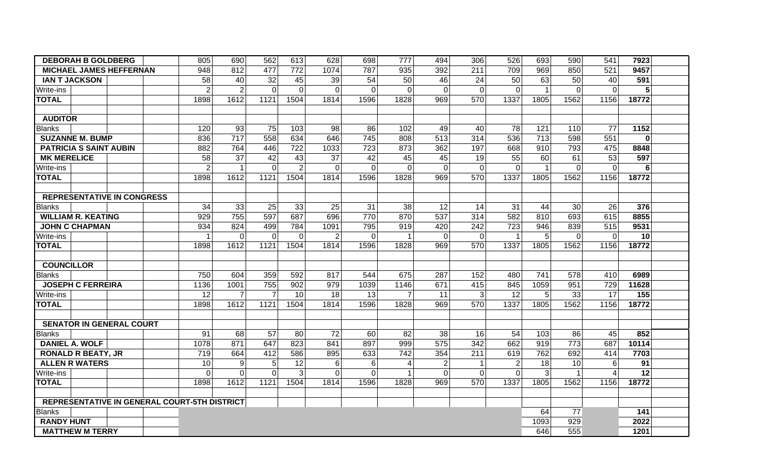| <b>DEBORAH B GOLDBERG</b><br>805             |  | 690            | 562                     | 613             | 628            | 698             | 777            | 494            | 306            | 526            | 693                  | 590          | 541            | 7923                  |          |  |
|----------------------------------------------|--|----------------|-------------------------|-----------------|----------------|-----------------|----------------|----------------|----------------|----------------|----------------------|--------------|----------------|-----------------------|----------|--|
| 948<br>812<br><b>MICHAEL JAMES HEFFERNAN</b> |  | 477            | 772                     | 1074            | 787            | 935             | 392            | 211            | 709            | 969            | 850                  | 521          | 9457           |                       |          |  |
| <b>IAN T JACKSON</b>                         |  | 58             | 40                      | 32              | 45             | 39              | 54             | 50             | 46             | 24             | 50                   | 63           | 50             | 40                    | 591      |  |
| Write-ins                                    |  | $\overline{2}$ | $\overline{2}$          | $\Omega$        | $\mathbf 0$    | $\Omega$        | $\Omega$       | $\mathbf 0$    | $\mathbf 0$    | $\mathbf 0$    | $\Omega$             | $\mathbf 1$  | $\mathbf{0}$   | $\mathbf{0}$          | 5        |  |
| <b>TOTAL</b>                                 |  | 1898           | 1612                    | 1121            | 1504           | 1814            | 1596           | 1828           | 969            | 570            | 1337                 | 1805         | 1562           | 1156                  | 18772    |  |
|                                              |  |                |                         |                 |                |                 |                |                |                |                |                      |              |                |                       |          |  |
| <b>AUDITOR</b>                               |  |                |                         |                 |                |                 |                |                |                |                |                      |              |                |                       |          |  |
| <b>Blanks</b>                                |  | 120            | 93                      | 75              | 103            | 98              | 86             | 102            | 49             | 40             | 78                   | 121          | 110            | 77                    | 1152     |  |
| <b>SUZANNE M. BUMP</b>                       |  | 836            | 717                     | 558             | 634            | 646             | 745            | 808            | 513            | 314            | 536                  | 713          | 598            | 551                   | $\bf{0}$ |  |
| <b>PATRICIA S SAINT AUBIN</b>                |  | 882            | 764                     | 446             | 722            | 1033            | 723            | 873            | 362            | 197            | 668                  | 910          | 793            | 475                   | 8848     |  |
| <b>MK MERELICE</b>                           |  | 58             | $\overline{37}$         | 42              | 43             | 37              | 42             | 45             | 45             | 19             | 55                   | 60           | 61             | 53                    | 597      |  |
| Write-ins                                    |  | $\overline{2}$ | $\overline{\mathbf{1}}$ | $\overline{0}$  | $\overline{2}$ | $\mathbf 0$     | $\overline{0}$ | $\mathbf 0$    | $\mathbf 0$    | $\mathbf 0$    | $\overline{0}$       | $\mathbf{1}$ | $\mathbf 0$    | $\mathbf 0$           | 6        |  |
| <b>TOTAL</b>                                 |  | 1898           | 1612                    | 1121            | 1504           | 1814            | 1596           | 1828           | 969            | 570            | 1337                 | 1805         | 1562           | 1156                  | 18772    |  |
|                                              |  |                |                         |                 |                |                 |                |                |                |                |                      |              |                |                       |          |  |
| <b>REPRESENTATIVE IN CONGRESS</b>            |  |                |                         |                 |                |                 |                |                |                |                |                      |              |                |                       |          |  |
| Blanks                                       |  | 34             | 33                      | 25              | 33             | 25              | 31             | 38             | 12             | 14             | 31                   | 44           | 30             | 26                    | 376      |  |
| <b>WILLIAM R. KEATING</b>                    |  | 929            | 755                     | 597             | 687            | 696             | 770            | 870            | 537            | 314            | 582                  | 810          | 693            | 615                   | 8855     |  |
| <b>JOHN C CHAPMAN</b>                        |  | 934            | 824                     | 499             | 784            | 1091            | 795            | 919            | 420            | 242            | 723                  | 946          | 839            | 515                   | 9531     |  |
| Write-ins                                    |  |                | $\mathbf{0}$            | $\overline{0}$  | $\mathbf 0$    | 2               | $\Omega$       |                | $\mathbf 0$    | $\Omega$       | $\blacktriangleleft$ | 5            | $\mathbf{0}$   | $\Omega$              | 10       |  |
| <b>TOTAL</b>                                 |  | 1898           | 1612                    | 1121            | 1504           | 1814            | 1596           | 1828           | 969            | 570            | 1337                 | 1805         | 1562           | 1156                  | 18772    |  |
|                                              |  |                |                         |                 |                |                 |                |                |                |                |                      |              |                |                       |          |  |
| <b>COUNCILLOR</b>                            |  |                |                         |                 |                |                 |                |                |                |                |                      |              |                |                       |          |  |
| <b>Blanks</b>                                |  | 750            | 604                     | 359             | 592            | 817             | 544            | 675            | 287            | 152            | 480                  | 741          | 578            | 410                   | 6989     |  |
| <b>JOSEPH C FERREIRA</b>                     |  | 1136           | 1001                    | 755             | 902            | 979             | 1039           | 1146           | 671            | 415            | 845                  | 1059         | 951            | 729                   | 11628    |  |
| Write-ins                                    |  | 12             | $\overline{7}$          | $\overline{7}$  | 10             | 18              | 13             | $\overline{7}$ | 11             | 3              | 12                   | 5            | 33             | 17                    | 155      |  |
| <b>TOTAL</b>                                 |  | 1898           | 1612                    | 1121            | 1504           | 1814            | 1596           | 1828           | 969            | 570            | 1337                 | 1805         | 1562           | 1156                  | 18772    |  |
|                                              |  |                |                         |                 |                |                 |                |                |                |                |                      |              |                |                       |          |  |
| <b>SENATOR IN GENERAL COURT</b>              |  |                |                         |                 |                |                 |                |                |                |                |                      |              |                |                       |          |  |
| <b>Blanks</b>                                |  | 91             | 68                      | 57              | 80             | 72              | 60             | 82             | 38             | 16             | 54                   | 103          | 86             | 45                    | 852      |  |
| <b>DANIEL A. WOLF</b>                        |  | 1078           | 871                     | 647             | 823            | 841             | 897            | 999            | 575            | 342            | 662                  | 919          | 773            | 687                   | 10114    |  |
| <b>RONALD R BEATY, JR</b>                    |  | 719            | 664                     | 412             | 586            | 895             | 633            | 742            | 354            | 211            | 619                  | 762          | 692            | 414                   | 7703     |  |
| <b>ALLEN R WATERS</b>                        |  | 10             | 9                       | $5\phantom{.0}$ | 12             | $6\phantom{1}6$ | 6              | 4              | $\overline{2}$ | $\mathbf{1}$   | $\overline{2}$       | 18           | 10             | 6                     | 91       |  |
| Write-ins                                    |  | $\mathbf 0$    | $\Omega$                | $\Omega$        | $\mathfrak{S}$ | $\Omega$        | $\Omega$       | $\mathbf{1}$   | $\overline{O}$ | $\overline{0}$ | $\Omega$             | $\mathbf{3}$ | $\overline{1}$ | $\boldsymbol{\Delta}$ | 12       |  |
| <b>TOTAL</b>                                 |  | 1898           | 1612                    | 1121            | 1504           | 1814            | 1596           | 1828           | 969            | 570            | 1337                 | 1805         | 1562           | 1156                  | 18772    |  |
|                                              |  |                |                         |                 |                |                 |                |                |                |                |                      |              |                |                       |          |  |
| REPRESENTATIVE IN GENERAL COURT-5TH DISTRICT |  |                |                         |                 |                |                 |                |                |                |                |                      |              |                |                       |          |  |
| <b>Blanks</b>                                |  |                |                         |                 |                |                 |                |                |                |                |                      | 64           | 77             |                       | 141      |  |
| <b>RANDY HUNT</b>                            |  |                |                         |                 |                |                 |                |                |                |                |                      | 1093         | 929            |                       | 2022     |  |
| <b>MATTHEW M TERRY</b>                       |  |                |                         |                 |                |                 |                |                |                |                |                      | 646          | 555            |                       | 1201     |  |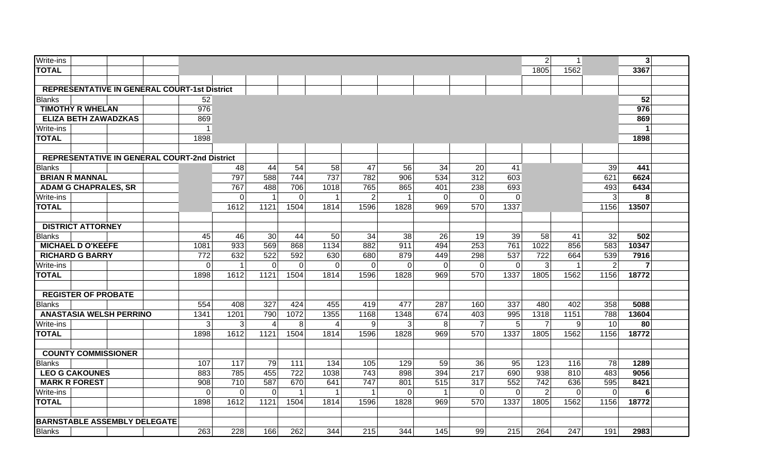| Write-ins                                           |          |          |                |                |                |                |          |              |                |             | 2 <sup>1</sup> | $\mathbf{1}$ |                | 3 <sup>1</sup> |  |
|-----------------------------------------------------|----------|----------|----------------|----------------|----------------|----------------|----------|--------------|----------------|-------------|----------------|--------------|----------------|----------------|--|
| <b>TOTAL</b>                                        |          |          |                |                |                |                |          |              |                |             | 1805           | 1562         |                | 3367           |  |
|                                                     |          |          |                |                |                |                |          |              |                |             |                |              |                |                |  |
|                                                     |          |          |                |                |                |                |          |              |                |             |                |              |                |                |  |
| <b>REPRESENTATIVE IN GENERAL COURT-1st District</b> |          |          |                |                |                |                |          |              |                |             |                |              |                |                |  |
| Blanks                                              | 52       |          |                |                |                |                |          |              |                |             |                |              |                | 52             |  |
| <b>TIMOTHY R WHELAN</b>                             | 976      |          |                |                |                |                |          |              |                |             |                |              |                | 976            |  |
| <b>ELIZA BETH ZAWADZKAS</b>                         | 869      |          |                |                |                |                |          |              |                |             |                |              |                | 869            |  |
| Write-ins                                           | 1        |          |                |                |                |                |          |              |                |             |                |              |                |                |  |
| <b>TOTAL</b>                                        | 1898     |          |                |                |                |                |          |              |                |             |                |              |                | 1898           |  |
|                                                     |          |          |                |                |                |                |          |              |                |             |                |              |                |                |  |
| <b>REPRESENTATIVE IN GENERAL COURT-2nd District</b> |          |          |                |                |                |                |          |              |                |             |                |              |                |                |  |
| <b>Blanks</b>                                       |          | 48       | 44             | 54             | 58             | 47             | 56       | 34           | 20             | 41          |                |              | 39             | 441            |  |
| <b>BRIAN R MANNAL</b>                               |          | 797      | 588            | 744            | 737            | 782            | 906      | 534          | 312            | 603         |                |              | 621            | 6624           |  |
| <b>ADAM G CHAPRALES, SR</b>                         |          | 767      | 488            | 706            | 1018           | 765            | 865      | 401          | 238            | 693         |                |              | 493            | 6434           |  |
| <b>Write-ins</b>                                    |          | $\Omega$ | $\mathbf{1}$   | $\mathbf 0$    | -1             | $\overline{2}$ |          | $\mathbf 0$  | $\mathbf 0$    | $\mathbf 0$ |                |              | 3              | 8              |  |
| <b>TOTAL</b>                                        |          | 1612     | 1121           | 1504           | 1814           | 1596           | 1828     | 969          | 570            | 1337        |                |              | 1156           | 13507          |  |
|                                                     |          |          |                |                |                |                |          |              |                |             |                |              |                |                |  |
| <b>DISTRICT ATTORNEY</b>                            |          |          |                |                |                |                |          |              |                |             |                |              |                |                |  |
| <b>Blanks</b>                                       | 45       | 46       | 30             | 44             | 50             | 34             | 38       | 26           | 19             | 39          | 58             | 41           | 32             | 502            |  |
| <b>MICHAEL D O'KEEFE</b>                            | 1081     | 933      | 569            | 868            | 1134           | 882            | 911      | 494          | 253            | 761         | 1022           | 856          | 583            | 10347          |  |
| <b>RICHARD G BARRY</b>                              | 772      | 632      | 522            | 592            | 630            | 680            | 879      | 449          | 298            | 537         | 722            | 664          | 539            | 7916           |  |
| <b>Write-ins</b>                                    | 0        | -1       | $\mathbf 0$    | $\overline{0}$ | $\Omega$       | $\Omega$       | $\Omega$ | $\mathbf 0$  | $\mathbf 0$    | $\Omega$    | 3              |              | 2              | 7              |  |
| <b>TOTAL</b>                                        | 1898     | 1612     | 1121           | 1504           | 1814           | 1596           | 1828     | 969          | 570            | 1337        | 1805           | 1562         | 1156           | 18772          |  |
|                                                     |          |          |                |                |                |                |          |              |                |             |                |              |                |                |  |
| <b>REGISTER OF PROBATE</b>                          |          |          |                |                |                |                |          |              |                |             |                |              |                |                |  |
| <b>Blanks</b>                                       | 554      | 408      | 327            | 424            | 455            | 419            | 477      | 287          | 160            | 337         | 480            | 402          | 358            | 5088           |  |
| <b>ANASTASIA WELSH PERRINO</b>                      | 1341     | 1201     | 790            | 1072           | 1355           | 1168           | 1348     | 674          | 403            | 995         | 1318           | 1151         | 788            | 13604          |  |
| Write-ins                                           | 3        | 3        | $\overline{4}$ | 8              | $\overline{4}$ | 9              | 3        | 8            | $\overline{7}$ | 5           | $\overline{7}$ | 9            | 10             | 80             |  |
| <b>TOTAL</b>                                        | 1898     | 1612     | 1121           | 1504           | 1814           | 1596           | 1828     | 969          | 570            | 1337        | 1805           | 1562         | 1156           | 18772          |  |
|                                                     |          |          |                |                |                |                |          |              |                |             |                |              |                |                |  |
| <b>COUNTY COMMISSIONER</b>                          |          |          |                |                |                |                |          |              |                |             |                |              |                |                |  |
| <b>Blanks</b>                                       | 107      | 117      | 79             | 111            | 134            | 105            | 129      | 59           | 36             | 95          | 123            | 116          | 78             | 1289           |  |
| <b>LEO G CAKOUNES</b>                               | 883      | 785      | 455            | 722            | 1038           | 743            | 898      | 394          | 217            | 690         | 938            | 810          | 483            | 9056           |  |
| <b>MARK R FOREST</b>                                | 908      | 710      | 587            | 670            | 641            | 747            | 801      | 515          | 317            | 552         | 742            | 636          | 595            | 8421           |  |
| Write-ins                                           | $\Omega$ | $\Omega$ | 0              | 1              | $\overline{1}$ | 1              | 0        | $\mathbf{1}$ | $\mathbf 0$    | $\mathbf 0$ | $\overline{2}$ | $\mathbf 0$  | $\overline{0}$ | 6              |  |
| <b>TOTAL</b>                                        | 1898     | 1612     | 1121           | 1504           | 1814           | 1596           | 1828     | 969          | 570            | 1337        | 1805           | 1562         | 1156           | 18772          |  |
|                                                     |          |          |                |                |                |                |          |              |                |             |                |              |                |                |  |
| <b>BARNSTABLE ASSEMBLY DELEGATE</b>                 |          |          |                |                |                |                |          |              |                |             |                |              |                |                |  |
| <b>Blanks</b>                                       | 263      | 228      | 166            | 262            | 344            | 215            | 344      | 145          | 99             | 215         | 264            | 247          | 191            | 2983           |  |